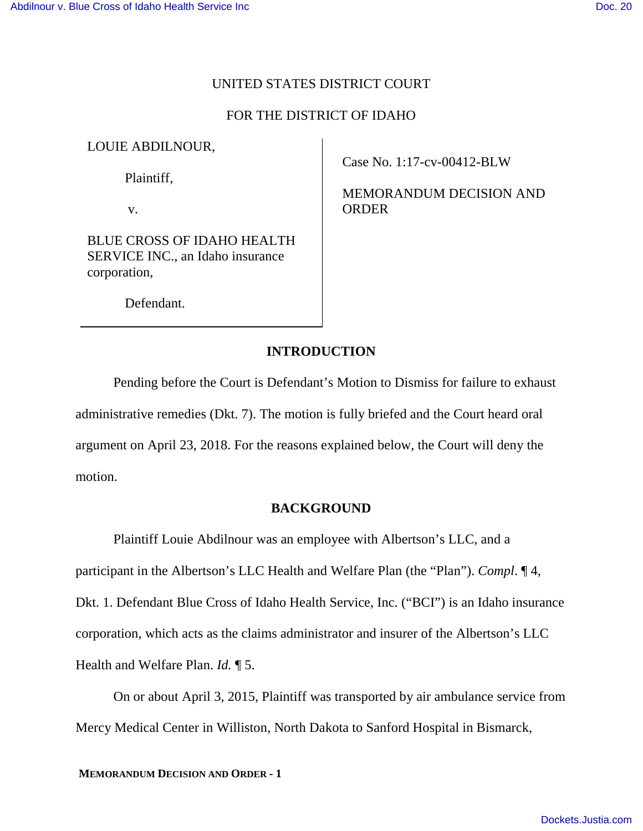#### UNITED STATES DISTRICT COURT

#### FOR THE DISTRICT OF IDAHO

#### LOUIE ABDILNOUR,

Plaintiff,

v.

BLUE CROSS OF IDAHO HEALTH SERVICE INC., an Idaho insurance corporation,

Case No. 1:17-cv-00412-BLW

MEMORANDUM DECISION AND ORDER

Defendant.

# **INTRODUCTION**

Pending before the Court is Defendant's Motion to Dismiss for failure to exhaust administrative remedies (Dkt. 7). The motion is fully briefed and the Court heard oral argument on April 23, 2018. For the reasons explained below, the Court will deny the motion.

#### **BACKGROUND**

Plaintiff Louie Abdilnour was an employee with Albertson's LLC, and a

participant in the Albertson's LLC Health and Welfare Plan (the "Plan"). *Compl*. ¶ 4, Dkt. 1. Defendant Blue Cross of Idaho Health Service, Inc. ("BCI") is an Idaho insurance corporation, which acts as the claims administrator and insurer of the Albertson's LLC

Health and Welfare Plan. *Id.* ¶ 5.

On or about April 3, 2015, Plaintiff was transported by air ambulance service from Mercy Medical Center in Williston, North Dakota to Sanford Hospital in Bismarck,

**MEMORANDUM DECISION AND ORDER - 1**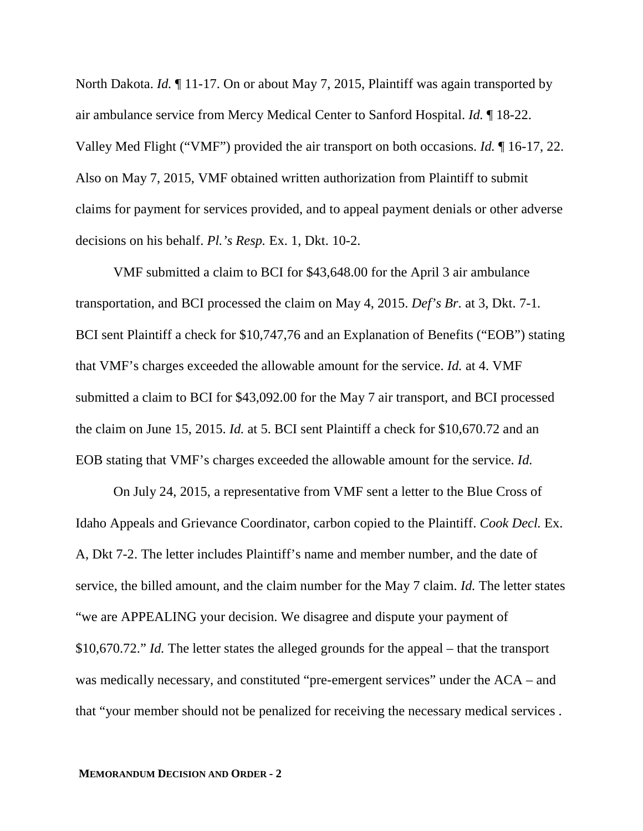North Dakota. *Id.* ¶ 11-17. On or about May 7, 2015, Plaintiff was again transported by air ambulance service from Mercy Medical Center to Sanford Hospital. *Id.* ¶ 18-22. Valley Med Flight ("VMF") provided the air transport on both occasions. *Id.* ¶ 16-17, 22. Also on May 7, 2015, VMF obtained written authorization from Plaintiff to submit claims for payment for services provided, and to appeal payment denials or other adverse decisions on his behalf. *Pl.'s Resp.* Ex. 1, Dkt. 10-2.

VMF submitted a claim to BCI for \$43,648.00 for the April 3 air ambulance transportation, and BCI processed the claim on May 4, 2015. *Def's Br.* at 3, Dkt. 7-1*.* BCI sent Plaintiff a check for \$10,747,76 and an Explanation of Benefits ("EOB") stating that VMF's charges exceeded the allowable amount for the service. *Id.* at 4. VMF submitted a claim to BCI for \$43,092.00 for the May 7 air transport, and BCI processed the claim on June 15, 2015. *Id.* at 5. BCI sent Plaintiff a check for \$10,670.72 and an EOB stating that VMF's charges exceeded the allowable amount for the service. *Id.*

On July 24, 2015, a representative from VMF sent a letter to the Blue Cross of Idaho Appeals and Grievance Coordinator, carbon copied to the Plaintiff. *Cook Decl.* Ex. A, Dkt 7-2. The letter includes Plaintiff's name and member number, and the date of service, the billed amount, and the claim number for the May 7 claim. *Id.* The letter states "we are APPEALING your decision. We disagree and dispute your payment of \$10,670.72." *Id.* The letter states the alleged grounds for the appeal – that the transport was medically necessary, and constituted "pre-emergent services" under the ACA – and that "your member should not be penalized for receiving the necessary medical services .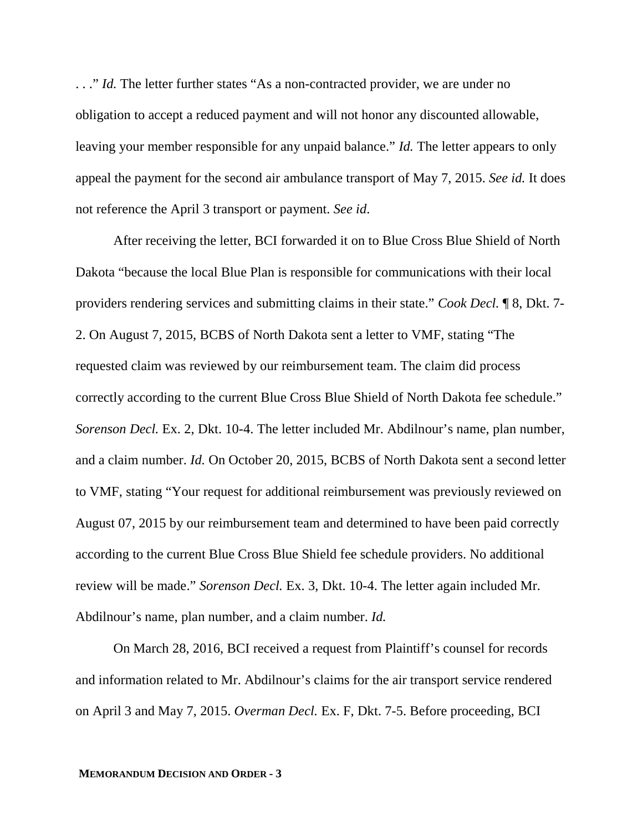..." *Id.* The letter further states "As a non-contracted provider, we are under no obligation to accept a reduced payment and will not honor any discounted allowable, leaving your member responsible for any unpaid balance." *Id.* The letter appears to only appeal the payment for the second air ambulance transport of May 7, 2015. *See id.* It does not reference the April 3 transport or payment. *See id*.

After receiving the letter, BCI forwarded it on to Blue Cross Blue Shield of North Dakota "because the local Blue Plan is responsible for communications with their local providers rendering services and submitting claims in their state." *Cook Decl.* ¶ 8, Dkt. 7- 2. On August 7, 2015, BCBS of North Dakota sent a letter to VMF, stating "The requested claim was reviewed by our reimbursement team. The claim did process correctly according to the current Blue Cross Blue Shield of North Dakota fee schedule." *Sorenson Decl.* Ex. 2, Dkt. 10-4. The letter included Mr. Abdilnour's name, plan number, and a claim number. *Id.* On October 20, 2015, BCBS of North Dakota sent a second letter to VMF, stating "Your request for additional reimbursement was previously reviewed on August 07, 2015 by our reimbursement team and determined to have been paid correctly according to the current Blue Cross Blue Shield fee schedule providers. No additional review will be made." *Sorenson Decl.* Ex. 3, Dkt. 10-4. The letter again included Mr. Abdilnour's name, plan number, and a claim number. *Id.*

On March 28, 2016, BCI received a request from Plaintiff's counsel for records and information related to Mr. Abdilnour's claims for the air transport service rendered on April 3 and May 7, 2015. *Overman Decl.* Ex. F, Dkt. 7-5. Before proceeding, BCI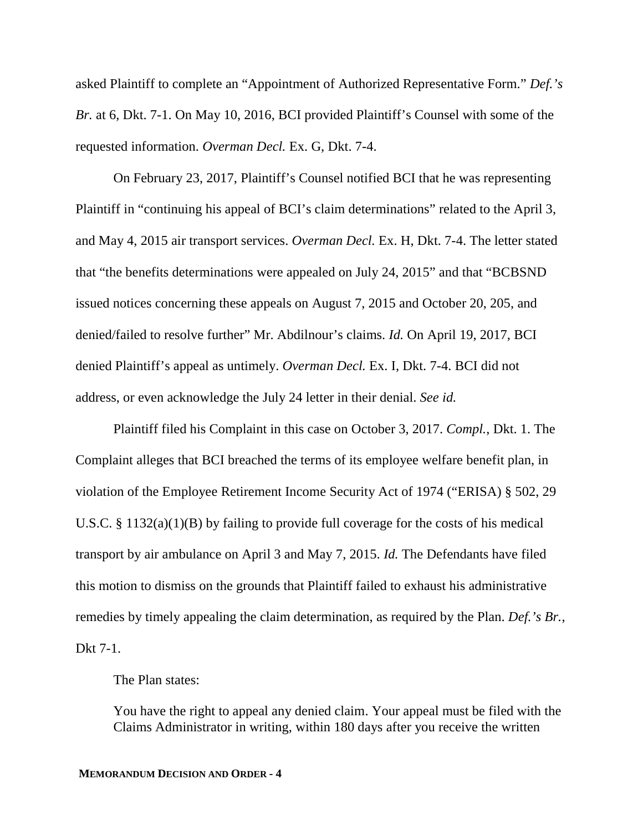asked Plaintiff to complete an "Appointment of Authorized Representative Form." *Def.'s Br.* at 6, Dkt. 7-1. On May 10, 2016, BCI provided Plaintiff's Counsel with some of the requested information. *Overman Decl.* Ex. G, Dkt. 7-4.

On February 23, 2017, Plaintiff's Counsel notified BCI that he was representing Plaintiff in "continuing his appeal of BCI's claim determinations" related to the April 3, and May 4, 2015 air transport services. *Overman Decl.* Ex. H, Dkt. 7-4. The letter stated that "the benefits determinations were appealed on July 24, 2015" and that "BCBSND issued notices concerning these appeals on August 7, 2015 and October 20, 205, and denied/failed to resolve further" Mr. Abdilnour's claims. *Id.* On April 19, 2017, BCI denied Plaintiff's appeal as untimely. *Overman Decl.* Ex. I, Dkt. 7-4. BCI did not address, or even acknowledge the July 24 letter in their denial. *See id.*

Plaintiff filed his Complaint in this case on October 3, 2017. *Compl.*, Dkt. 1. The Complaint alleges that BCI breached the terms of its employee welfare benefit plan, in violation of the Employee Retirement Income Security Act of 1974 ("ERISA) § 502, 29 U.S.C. § 1132(a)(1)(B) by failing to provide full coverage for the costs of his medical transport by air ambulance on April 3 and May 7, 2015. *Id.* The Defendants have filed this motion to dismiss on the grounds that Plaintiff failed to exhaust his administrative remedies by timely appealing the claim determination, as required by the Plan. *Def.'s Br.*, Dkt 7-1.

The Plan states:

You have the right to appeal any denied claim. Your appeal must be filed with the Claims Administrator in writing, within 180 days after you receive the written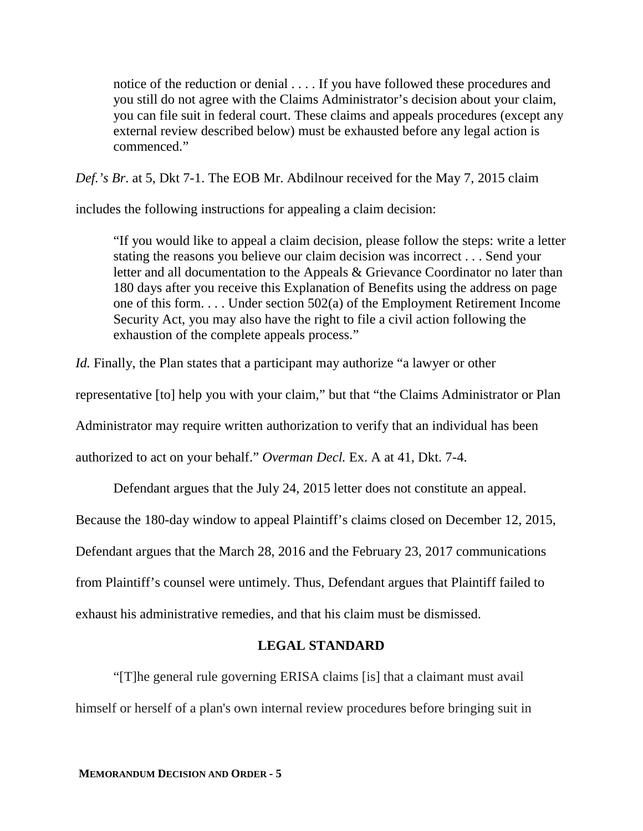notice of the reduction or denial . . . . If you have followed these procedures and you still do not agree with the Claims Administrator's decision about your claim, you can file suit in federal court. These claims and appeals procedures (except any external review described below) must be exhausted before any legal action is commenced."

*Def.'s Br*. at 5, Dkt 7-1. The EOB Mr. Abdilnour received for the May 7, 2015 claim

includes the following instructions for appealing a claim decision:

"If you would like to appeal a claim decision, please follow the steps: write a letter stating the reasons you believe our claim decision was incorrect . . . Send your letter and all documentation to the Appeals & Grievance Coordinator no later than 180 days after you receive this Explanation of Benefits using the address on page one of this form. . . . Under section 502(a) of the Employment Retirement Income Security Act, you may also have the right to file a civil action following the exhaustion of the complete appeals process."

*Id.* Finally, the Plan states that a participant may authorize "a lawyer or other

representative [to] help you with your claim," but that "the Claims Administrator or Plan

Administrator may require written authorization to verify that an individual has been

authorized to act on your behalf." *Overman Decl.* Ex. A at 41, Dkt. 7-4.

Defendant argues that the July 24, 2015 letter does not constitute an appeal.

Because the 180-day window to appeal Plaintiff's claims closed on December 12, 2015,

Defendant argues that the March 28, 2016 and the February 23, 2017 communications

from Plaintiff's counsel were untimely. Thus, Defendant argues that Plaintiff failed to

exhaust his administrative remedies, and that his claim must be dismissed.

### **LEGAL STANDARD**

"[T]he general rule governing ERISA claims [is] that a claimant must avail himself or herself of a plan's own internal review procedures before bringing suit in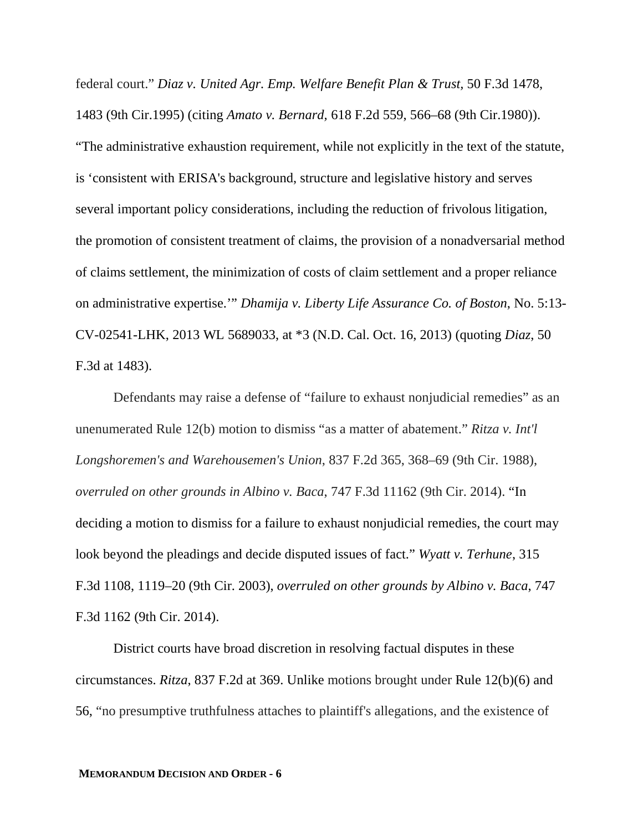federal court." *Diaz v. United Agr. Emp. Welfare Benefit Plan & Trust,* 50 F.3d 1478, 1483 (9th Cir.1995) (citing *Amato v. Bernard,* 618 F.2d 559, 566–68 (9th Cir.1980)). "The administrative exhaustion requirement, while not explicitly in the text of the statute, is 'consistent with ERISA's background, structure and legislative history and serves several important policy considerations, including the reduction of frivolous litigation, the promotion of consistent treatment of claims, the provision of a nonadversarial method of claims settlement, the minimization of costs of claim settlement and a proper reliance on administrative expertise.'" *Dhamija v. Liberty Life Assurance Co. of Boston*, No. 5:13- CV-02541-LHK, 2013 WL 5689033, at \*3 (N.D. Cal. Oct. 16, 2013) (quoting *Diaz*, 50 F.3d at 1483).

Defendants may raise a defense of "failure to exhaust nonjudicial remedies" as an unenumerated Rule 12(b) motion to dismiss "as a matter of abatement." *Ritza v. Int'l Longshoremen's and Warehousemen's Union*, 837 F.2d 365, 368–69 (9th Cir. 1988), *overruled on other grounds in Albino v. Baca*, 747 F.3d 11162 (9th Cir. 2014). "In deciding a motion to dismiss for a failure to exhaust nonjudicial remedies, the court may look beyond the pleadings and decide disputed issues of fact." *Wyatt v. Terhune*, 315 F.3d 1108, 1119–20 (9th Cir. 2003), *overruled on other grounds by Albino v. Baca*, 747 F.3d 1162 (9th Cir. 2014).

District courts have broad discretion in resolving factual disputes in these circumstances. *Ritza*, 837 F.2d at 369. Unlike motions brought under Rule 12(b)(6) and 56, "no presumptive truthfulness attaches to plaintiff's allegations, and the existence of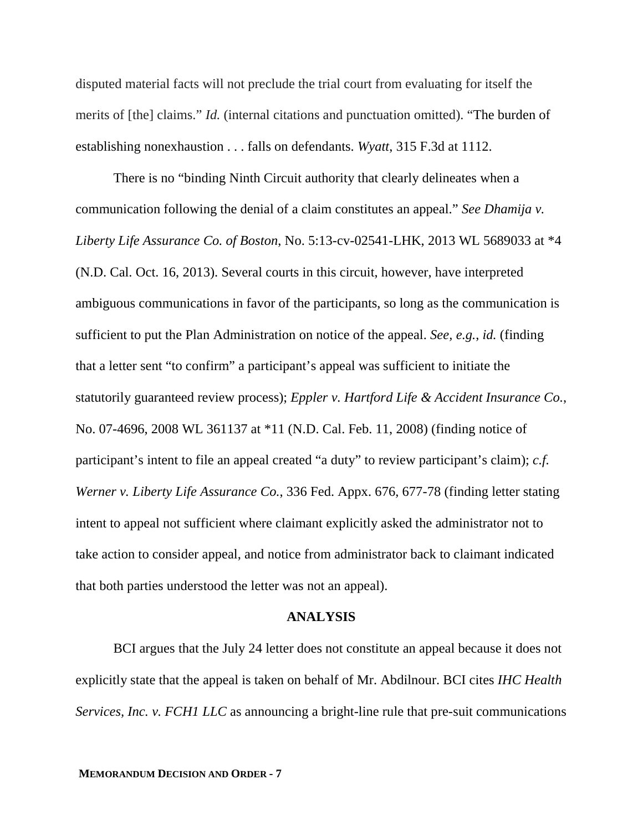disputed material facts will not preclude the trial court from evaluating for itself the merits of [the] claims." *Id.* (internal citations and punctuation omitted). "The burden of establishing nonexhaustion . . . falls on defendants. *Wyatt*, 315 F.3d at 1112.

There is no "binding Ninth Circuit authority that clearly delineates when a communication following the denial of a claim constitutes an appeal." *See Dhamija v. Liberty Life Assurance Co. of Boston*, No. 5:13-cv-02541-LHK, 2013 WL 5689033 at \*4 (N.D. Cal. Oct. 16, 2013). Several courts in this circuit, however, have interpreted ambiguous communications in favor of the participants, so long as the communication is sufficient to put the Plan Administration on notice of the appeal. *See, e.g.*, *id.* (finding that a letter sent "to confirm" a participant's appeal was sufficient to initiate the statutorily guaranteed review process); *Eppler v. Hartford Life & Accident Insurance Co.*, No. 07-4696, 2008 WL 361137 at \*11 (N.D. Cal. Feb. 11, 2008) (finding notice of participant's intent to file an appeal created "a duty" to review participant's claim); *c.f. Werner v. Liberty Life Assurance Co.*, 336 Fed. Appx. 676, 677-78 (finding letter stating intent to appeal not sufficient where claimant explicitly asked the administrator not to take action to consider appeal, and notice from administrator back to claimant indicated that both parties understood the letter was not an appeal).

#### **ANALYSIS**

BCI argues that the July 24 letter does not constitute an appeal because it does not explicitly state that the appeal is taken on behalf of Mr. Abdilnour. BCI cites *IHC Health Services, Inc. v. FCH1 LLC* as announcing a bright-line rule that pre-suit communications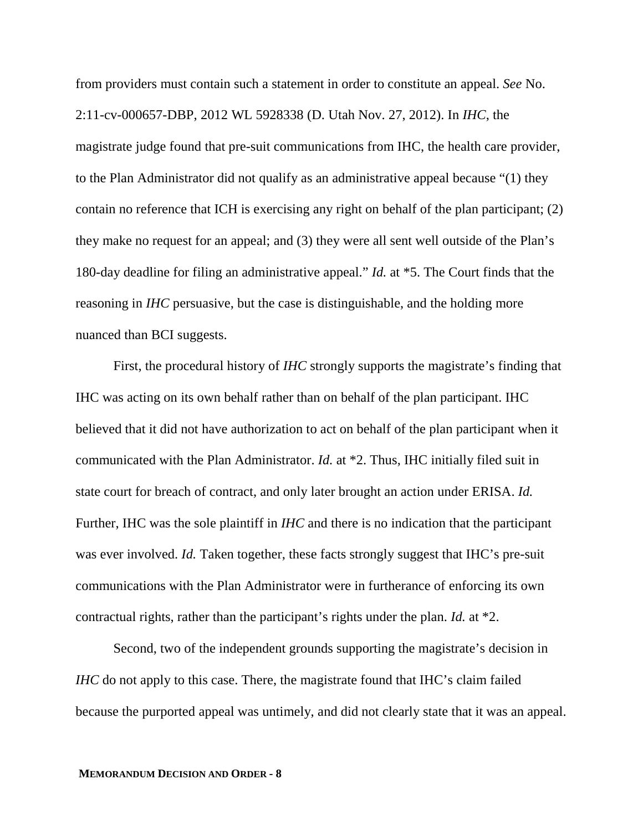from providers must contain such a statement in order to constitute an appeal. *See* No. 2:11-cv-000657-DBP, 2012 WL 5928338 (D. Utah Nov. 27, 2012). In *IHC*, the magistrate judge found that pre-suit communications from IHC, the health care provider, to the Plan Administrator did not qualify as an administrative appeal because "(1) they contain no reference that ICH is exercising any right on behalf of the plan participant; (2) they make no request for an appeal; and (3) they were all sent well outside of the Plan's 180-day deadline for filing an administrative appeal." *Id.* at \*5. The Court finds that the reasoning in *IHC* persuasive, but the case is distinguishable, and the holding more nuanced than BCI suggests.

First, the procedural history of *IHC* strongly supports the magistrate's finding that IHC was acting on its own behalf rather than on behalf of the plan participant. IHC believed that it did not have authorization to act on behalf of the plan participant when it communicated with the Plan Administrator. *Id.* at \*2. Thus, IHC initially filed suit in state court for breach of contract, and only later brought an action under ERISA. *Id.* Further, IHC was the sole plaintiff in *IHC* and there is no indication that the participant was ever involved. *Id.* Taken together, these facts strongly suggest that IHC's pre-suit communications with the Plan Administrator were in furtherance of enforcing its own contractual rights, rather than the participant's rights under the plan. *Id.* at \*2.

Second, two of the independent grounds supporting the magistrate's decision in *IHC* do not apply to this case. There, the magistrate found that IHC's claim failed because the purported appeal was untimely, and did not clearly state that it was an appeal.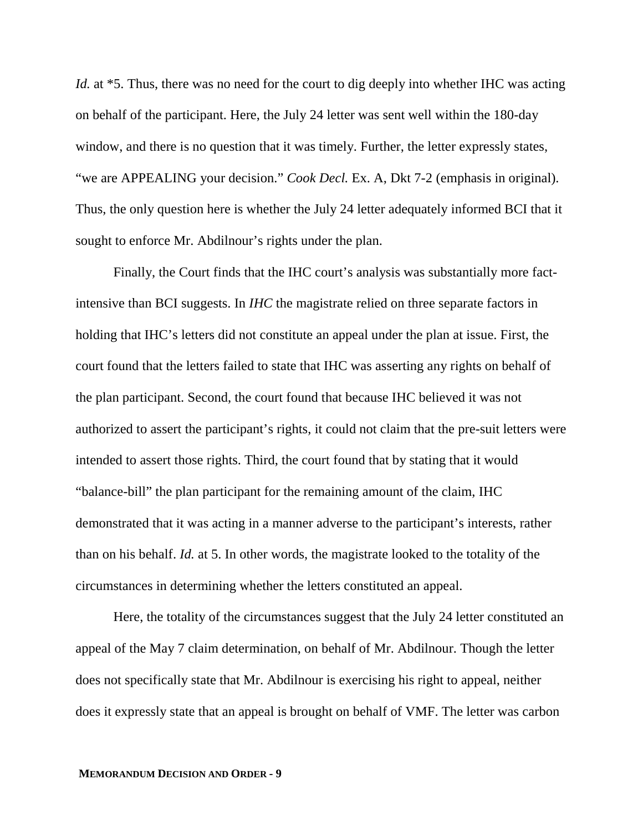*Id.* at \*5. Thus, there was no need for the court to dig deeply into whether IHC was acting on behalf of the participant. Here, the July 24 letter was sent well within the 180-day window, and there is no question that it was timely. Further, the letter expressly states, "we are APPEALING your decision." *Cook Decl.* Ex. A, Dkt 7-2 (emphasis in original). Thus, the only question here is whether the July 24 letter adequately informed BCI that it sought to enforce Mr. Abdilnour's rights under the plan.

Finally, the Court finds that the IHC court's analysis was substantially more factintensive than BCI suggests. In *IHC* the magistrate relied on three separate factors in holding that IHC's letters did not constitute an appeal under the plan at issue. First, the court found that the letters failed to state that IHC was asserting any rights on behalf of the plan participant. Second, the court found that because IHC believed it was not authorized to assert the participant's rights, it could not claim that the pre-suit letters were intended to assert those rights. Third, the court found that by stating that it would "balance-bill" the plan participant for the remaining amount of the claim, IHC demonstrated that it was acting in a manner adverse to the participant's interests, rather than on his behalf. *Id.* at 5. In other words, the magistrate looked to the totality of the circumstances in determining whether the letters constituted an appeal.

Here, the totality of the circumstances suggest that the July 24 letter constituted an appeal of the May 7 claim determination, on behalf of Mr. Abdilnour. Though the letter does not specifically state that Mr. Abdilnour is exercising his right to appeal, neither does it expressly state that an appeal is brought on behalf of VMF. The letter was carbon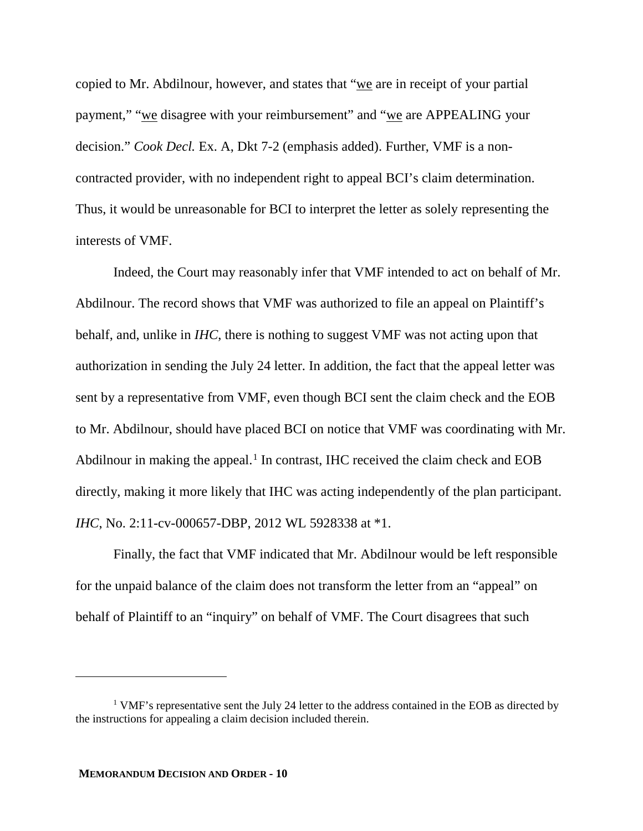copied to Mr. Abdilnour, however, and states that "we are in receipt of your partial payment," "we disagree with your reimbursement" and "we are APPEALING your decision." *Cook Decl.* Ex. A, Dkt 7-2 (emphasis added). Further, VMF is a noncontracted provider, with no independent right to appeal BCI's claim determination. Thus, it would be unreasonable for BCI to interpret the letter as solely representing the interests of VMF.

Indeed, the Court may reasonably infer that VMF intended to act on behalf of Mr. Abdilnour. The record shows that VMF was authorized to file an appeal on Plaintiff's behalf, and, unlike in *IHC*, there is nothing to suggest VMF was not acting upon that authorization in sending the July 24 letter. In addition, the fact that the appeal letter was sent by a representative from VMF, even though BCI sent the claim check and the EOB to Mr. Abdilnour, should have placed BCI on notice that VMF was coordinating with Mr. Abdilnour in making the appeal.<sup>1</sup> In contrast, IHC received the claim check and EOB directly, making it more likely that IHC was acting independently of the plan participant. *IHC*, No. 2:11-cv-000657-DBP, 2012 WL 5928338 at \*1.

Finally, the fact that VMF indicated that Mr. Abdilnour would be left responsible for the unpaid balance of the claim does not transform the letter from an "appeal" on behalf of Plaintiff to an "inquiry" on behalf of VMF. The Court disagrees that such

-

<sup>&</sup>lt;sup>1</sup> VMF's representative sent the July 24 letter to the address contained in the EOB as directed by the instructions for appealing a claim decision included therein.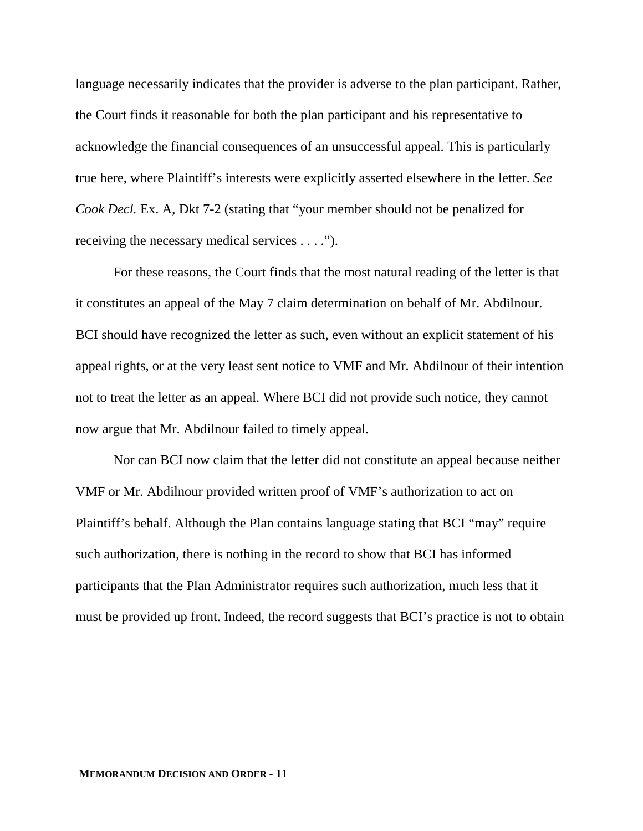language necessarily indicates that the provider is adverse to the plan participant. Rather, the Court finds it reasonable for both the plan participant and his representative to acknowledge the financial consequences of an unsuccessful appeal. This is particularly true here, where Plaintiff's interests were explicitly asserted elsewhere in the letter. *See Cook Decl.* Ex. A, Dkt 7-2 (stating that "your member should not be penalized for receiving the necessary medical services . . . .").

For these reasons, the Court finds that the most natural reading of the letter is that it constitutes an appeal of the May 7 claim determination on behalf of Mr. Abdilnour. BCI should have recognized the letter as such, even without an explicit statement of his appeal rights, or at the very least sent notice to VMF and Mr. Abdilnour of their intention not to treat the letter as an appeal. Where BCI did not provide such notice, they cannot now argue that Mr. Abdilnour failed to timely appeal.

Nor can BCI now claim that the letter did not constitute an appeal because neither VMF or Mr. Abdilnour provided written proof of VMF's authorization to act on Plaintiff's behalf. Although the Plan contains language stating that BCI "may" require such authorization, there is nothing in the record to show that BCI has informed participants that the Plan Administrator requires such authorization, much less that it must be provided up front. Indeed, the record suggests that BCI's practice is not to obtain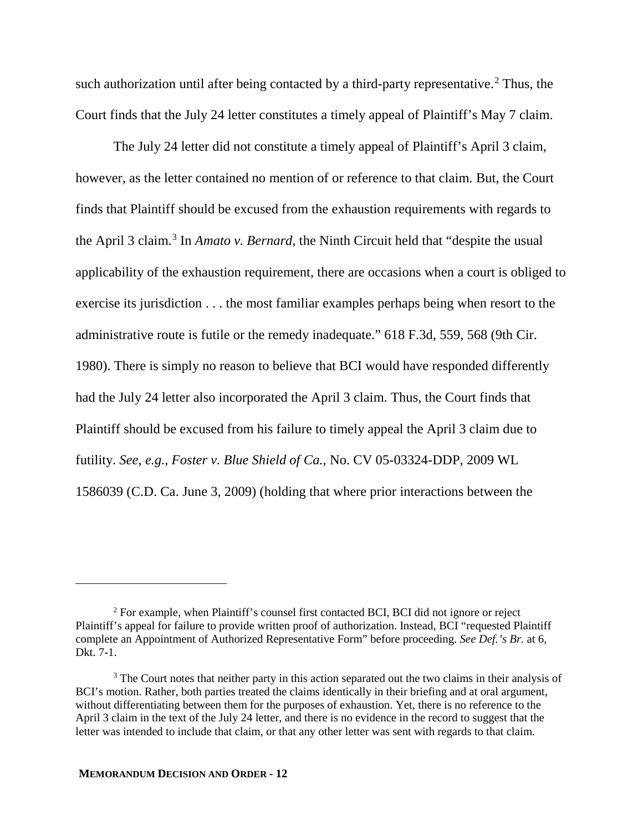such authorization until after being contacted by a third-party representative.<sup>2</sup> Thus, the Court finds that the July 24 letter constitutes a timely appeal of Plaintiff's May 7 claim.

The July 24 letter did not constitute a timely appeal of Plaintiff's April 3 claim, however, as the letter contained no mention of or reference to that claim. But, the Court finds that Plaintiff should be excused from the exhaustion requirements with regards to the April 3 claim. 3 In *Amato v. Bernard*, the Ninth Circuit held that "despite the usual applicability of the exhaustion requirement, there are occasions when a court is obliged to exercise its jurisdiction . . . the most familiar examples perhaps being when resort to the administrative route is futile or the remedy inadequate." 618 F.3d, 559, 568 (9th Cir. 1980). There is simply no reason to believe that BCI would have responded differently had the July 24 letter also incorporated the April 3 claim. Thus, the Court finds that Plaintiff should be excused from his failure to timely appeal the April 3 claim due to futility. *See, e.g.*, *Foster v. Blue Shield of Ca.*, No. CV 05-03324-DDP, 2009 WL 1586039 (C.D. Ca. June 3, 2009) (holding that where prior interactions between the

 $\overline{a}$ 

<sup>&</sup>lt;sup>2</sup> For example, when Plaintiff's counsel first contacted BCI, BCI did not ignore or reject Plaintiff's appeal for failure to provide written proof of authorization. Instead, BCI "requested Plaintiff complete an Appointment of Authorized Representative Form" before proceeding. *See Def.'s Br.* at 6, Dkt. 7-1.

<sup>&</sup>lt;sup>3</sup> The Court notes that neither party in this action separated out the two claims in their analysis of BCI's motion. Rather, both parties treated the claims identically in their briefing and at oral argument, without differentiating between them for the purposes of exhaustion. Yet, there is no reference to the April 3 claim in the text of the July 24 letter, and there is no evidence in the record to suggest that the letter was intended to include that claim, or that any other letter was sent with regards to that claim.